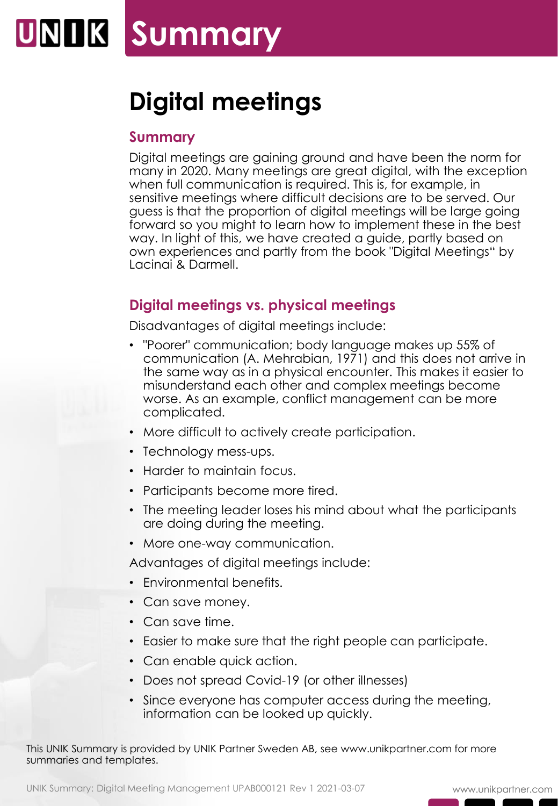# UNIIK Summary

### **Digital meetings**

#### **Summary**

Digital meetings are gaining ground and have been the norm for many in 2020. Many meetings are great digital, with the exception when full communication is required. This is, for example, in sensitive meetings where difficult decisions are to be served. Our guess is that the proportion of digital meetings will be large going forward so you might to learn how to implement these in the best way. In light of this, we have created a guide, partly based on own experiences and partly from the book "Digital Meetings" by Lacinai & Darmell.

### **Digital meetings vs. physical meetings**

Disadvantages of digital meetings include:

- "Poorer" communication; body language makes up 55% of communication (A. Mehrabian, 1971) and this does not arrive in the same way as in a physical encounter. This makes it easier to misunderstand each other and complex meetings become worse. As an example, conflict management can be more complicated.
- More difficult to actively create participation.
- Technology mess-ups.
- Harder to maintain focus.
- Participants become more tired.
- The meeting leader loses his mind about what the participants are doing during the meeting.
- More one-way communication.

Advantages of digital meetings include:

- Environmental benefits.
- Can save money.
- Can save time.
- Easier to make sure that the right people can participate.
- Can enable quick action.
- Does not spread Covid-19 (or other illnesses)
- Since everyone has computer access during the meeting, information can be looked up quickly.

This UNIK Summary is provided by UNIK Partner Sweden AB, see www.unikpartner.com for more summaries and templates.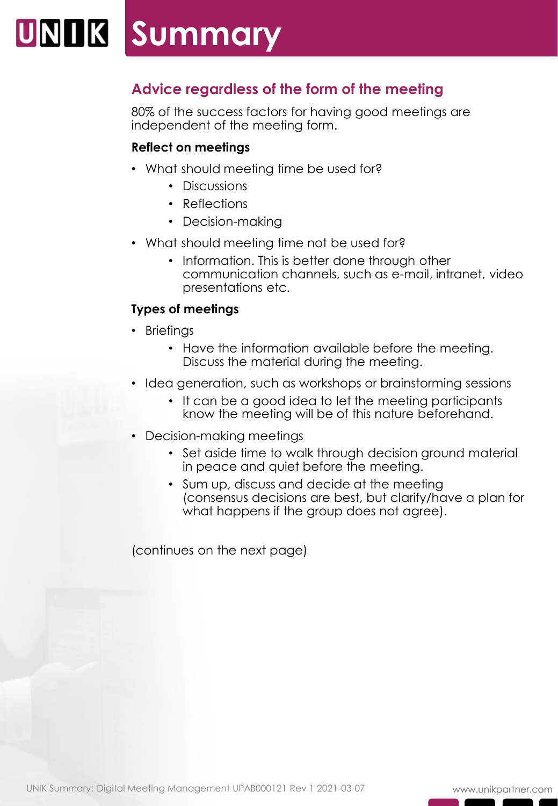# **Summary**

### **Advice regardless of the form of the meeting**

80% of the success factors for having good meetings are independent of the meeting form.

#### **Reflect on meetings**

- What should meeting time be used for?
	- Discussions
	- Reflections
	- Decision-making
- What should meeting time not be used for?
	- Information. This is better done through other communication channels, such as e-mail, intranet, video presentations etc.

#### **Types of meetings**

- Briefings
	- Have the information available before the meeting. Discuss the material during the meeting.
- Idea generation, such as workshops or brainstorming sessions
	- It can be a good idea to let the meeting participants know the meeting will be of this nature beforehand.
- Decision-making meetings
	- Set aside time to walk through decision ground material in peace and quiet before the meeting.
	- Sum up, discuss and decide at the meeting (consensus decisions are best, but clarify/have a plan for what happens if the group does not agree).

(continues on the next page)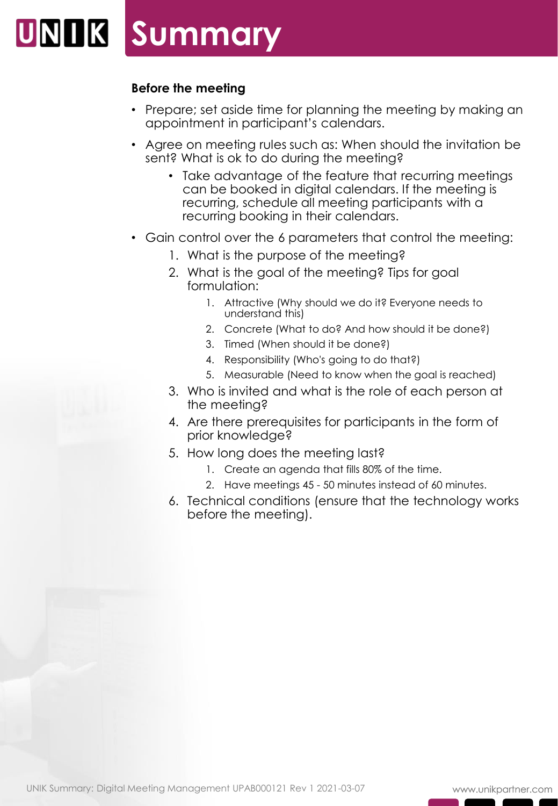## UNIIK Summary

#### **Before the meeting**

- Prepare; set aside time for planning the meeting by making an appointment in participant's calendars.
- Agree on meeting rules such as: When should the invitation be sent? What is ok to do during the meeting?
	- Take advantage of the feature that recurring meetings can be booked in digital calendars. If the meeting is recurring, schedule all meeting participants with a recurring booking in their calendars.
- Gain control over the 6 parameters that control the meeting:
	- 1. What is the purpose of the meeting?
	- 2. What is the goal of the meeting? Tips for goal formulation:
		- 1. Attractive (Why should we do it? Everyone needs to understand this)
		- 2. Concrete (What to do? And how should it be done?)
		- 3. Timed (When should it be done?)
		- 4. Responsibility (Who's going to do that?)
		- 5. Measurable (Need to know when the goal is reached)
	- 3. Who is invited and what is the role of each person at the meeting?
	- 4. Are there prerequisites for participants in the form of prior knowledge?
	- 5. How long does the meeting last?
		- 1. Create an agenda that fills 80% of the time.
		- 2. Have meetings 45 50 minutes instead of 60 minutes.
	- 6. Technical conditions (ensure that the technology works before the meeting).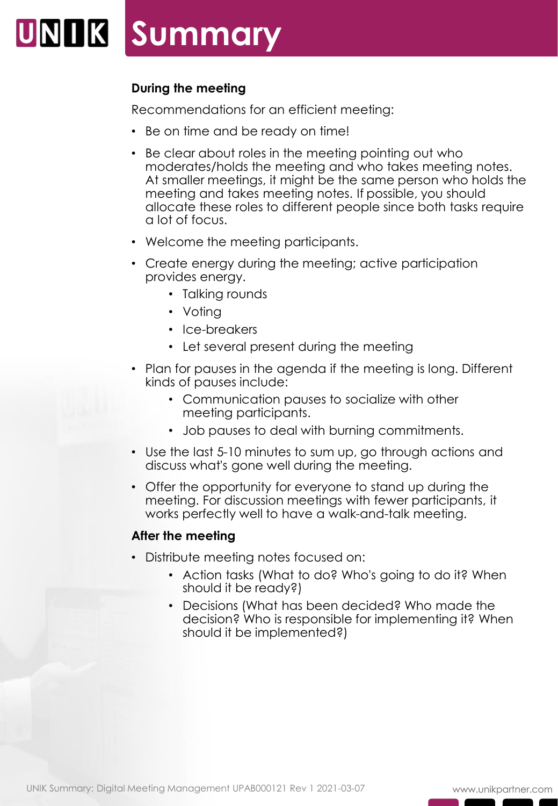### **Summary**

#### **During the meeting**

Recommendations for an efficient meeting:

- Be on time and be ready on time!
- Be clear about roles in the meeting pointing out who moderates/holds the meeting and who takes meeting notes. At smaller meetings, it might be the same person who holds the meeting and takes meeting notes. If possible, you should allocate these roles to different people since both tasks require a lot of focus.
- Welcome the meeting participants.
- Create energy during the meeting; active participation provides energy.
	- Talking rounds
	- Voting
	- Ice-breakers
	- Let several present during the meeting
- Plan for pauses in the agenda if the meeting is long. Different kinds of pauses include:
	- Communication pauses to socialize with other meeting participants.
	- Job pauses to deal with burning commitments.
- Use the last 5-10 minutes to sum up, go through actions and discuss what's gone well during the meeting.
- Offer the opportunity for everyone to stand up during the meeting. For discussion meetings with fewer participants, it works perfectly well to have a walk-and-talk meeting.

#### **After the meeting**

- Distribute meeting notes focused on:
	- Action tasks (What to do? Who's going to do it? When should it be ready?)
	- Decisions (What has been decided? Who made the decision? Who is responsible for implementing it? When should it be implemented?)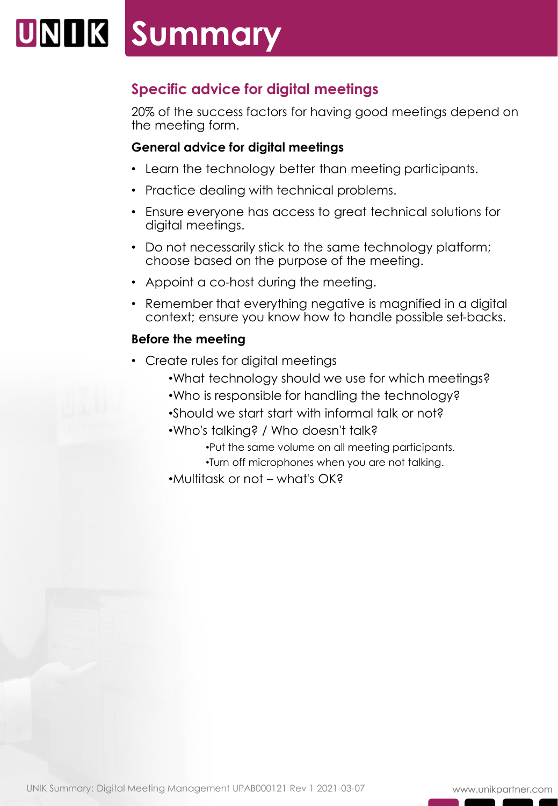# **UNIK Summary**

### **Specific advice for digital meetings**

20% of the success factors for having good meetings depend on the meeting form.

#### **General advice for digital meetings**

- Learn the technology better than meeting participants.
- Practice dealing with technical problems.
- Ensure everyone has access to great technical solutions for digital meetings.
- Do not necessarily stick to the same technology platform; choose based on the purpose of the meeting.
- Appoint a co-host during the meeting.
- Remember that everything negative is magnified in a digital context; ensure you know how to handle possible set-backs.

#### **Before the meeting**

- Create rules for digital meetings
	- •What technology should we use for which meetings?
	- •Who is responsible for handling the technology?
	- •Should we start start with informal talk or not?
	- •Who's talking? / Who doesn't talk?
		- •Put the same volume on all meeting participants.
		- •Turn off microphones when you are not talking.
	- •Multitask or not what's OK?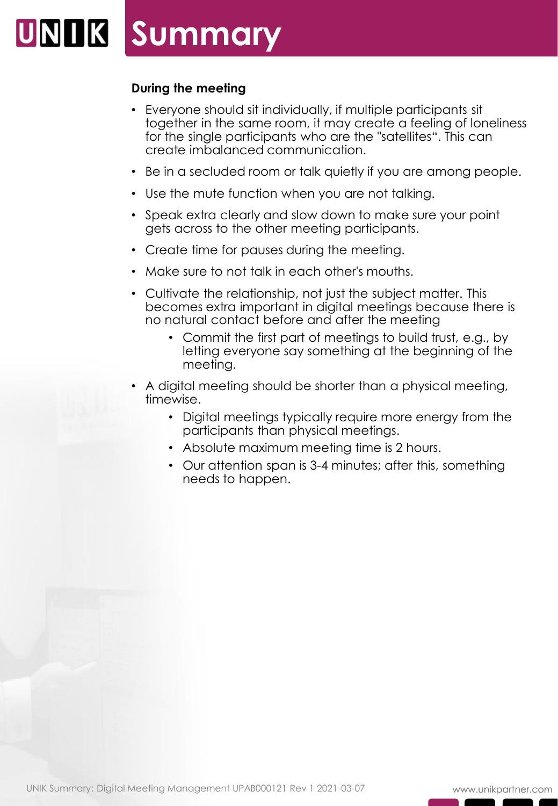### **Summary**

#### **During the meeting**

- Everyone should sit individually, if multiple participants sit together in the same room, it may create a feeling of loneliness for the single participants who are the "satellites". This can create imbalanced communication.
- Be in a secluded room or talk quietly if you are among people.
- Use the mute function when you are not talking.
- Speak extra clearly and slow down to make sure your point gets across to the other meeting participants.
- Create time for pauses during the meeting.
- Make sure to not talk in each other's mouths.
- Cultivate the relationship, not just the subject matter. This becomes extra important in digital meetings because there is no natural contact before and after the meeting
	- Commit the first part of meetings to build trust, e.g., by letting everyone say something at the beginning of the meeting.
- A digital meeting should be shorter than a physical meeting, timewise.
	- Digital meetings typically require more energy from the participants than physical meetings.
	- Absolute maximum meeting time is 2 hours.
	- Our attention span is 3-4 minutes; after this, something needs to happen.